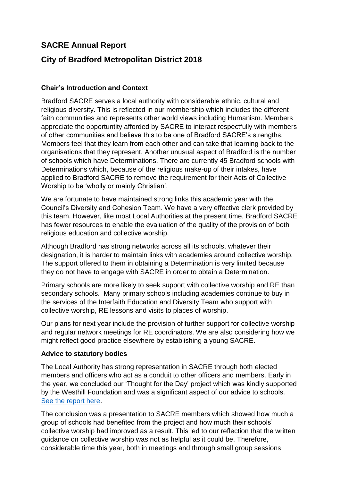# **SACRE Annual Report**

# **City of Bradford Metropolitan District 2018**

## **Chair's Introduction and Context**

Bradford SACRE serves a local authority with considerable ethnic, cultural and religious diversity. This is reflected in our membership which includes the different faith communities and represents other world views including Humanism. Members appreciate the opportuntity afforded by SACRE to interact respectfully with members of other communities and believe this to be one of Bradford SACRE's strengths. Members feel that they learn from each other and can take that learning back to the organisations that they represent. Another unusual aspect of Bradford is the number of schools which have Determinations. There are currently 45 Bradford schools with Determinations which, because of the religious make-up of their intakes, have applied to Bradford SACRE to remove the requirement for their Acts of Collective Worship to be 'wholly or mainly Christian'.

We are fortunate to have maintained strong links this academic year with the Council's Diversity and Cohesion Team. We have a very effective clerk provided by this team. However, like most Local Authorities at the present time, Bradford SACRE has fewer resources to enable the evaluation of the quality of the provision of both religious education and collective worship.

Although Bradford has strong networks across all its schools, whatever their designation, it is harder to maintain links with academies around collective worship. The support offered to them in obtaining a Determination is very limited because they do not have to engage with SACRE in order to obtain a Determination.

Primary schools are more likely to seek support with collective worship and RE than secondary schools. Many primary schools including academies continue to buy in the services of the Interfaith Education and Diversity Team who support with collective worship, RE lessons and visits to places of worship.

Our plans for next year include the provision of further support for collective worship and regular network meetings for RE coordinators. We are also considering how we might reflect good practice elsewhere by establishing a young SACRE.

## **Advice to statutory bodies**

The Local Authority has strong representation in SACRE through both elected members and officers who act as a conduit to other officers and members. Early in the year, we concluded our 'Thought for the Day' project which was kindly supported by the Westhill Foundation and was a significant aspect of our advice to schools. [See the report here.](file://bradford.gov.uk/datavault/cyp/ES/Diversity_and_Cohesion/SACRE/Thought%20for%20today/Thought%20for%20Today,%20Thinking%20for%20Tomorrow.docx)

The conclusion was a presentation to SACRE members which showed how much a group of schools had benefited from the project and how much their schools' collective worship had improved as a result. This led to our reflection that the written guidance on collective worship was not as helpful as it could be. Therefore, considerable time this year, both in meetings and through small group sessions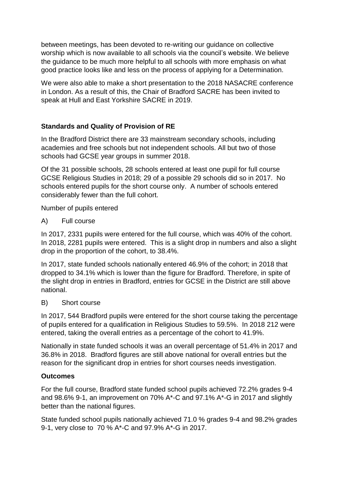between meetings, has been devoted to re-writing our guidance on collective worship which is now available to all schools via the council's website. We believe the guidance to be much more helpful to all schools with more emphasis on what good practice looks like and less on the process of applying for a Determination.

We were also able to make a short presentation to the 2018 NASACRE conference in London. As a result of this, the Chair of Bradford SACRE has been invited to speak at Hull and East Yorkshire SACRE in 2019.

# **Standards and Quality of Provision of RE**

In the Bradford District there are 33 mainstream secondary schools, including academies and free schools but not independent schools. All but two of those schools had GCSE year groups in summer 2018.

Of the 31 possible schools, 28 schools entered at least one pupil for full course GCSE Religious Studies in 2018; 29 of a possible 29 schools did so in 2017. No schools entered pupils for the short course only. A number of schools entered considerably fewer than the full cohort.

Number of pupils entered

A) Full course

In 2017, 2331 pupils were entered for the full course, which was 40% of the cohort. In 2018, 2281 pupils were entered. This is a slight drop in numbers and also a slight drop in the proportion of the cohort, to 38.4%.

In 2017, state funded schools nationally entered 46.9% of the cohort; in 2018 that dropped to 34.1% which is lower than the figure for Bradford. Therefore, in spite of the slight drop in entries in Bradford, entries for GCSE in the District are still above national.

B) Short course

In 2017, 544 Bradford pupils were entered for the short course taking the percentage of pupils entered for a qualification in Religious Studies to 59.5%. In 2018 212 were entered, taking the overall entries as a percentage of the cohort to 41.9%.

Nationally in state funded schools it was an overall percentage of 51.4% in 2017 and 36.8% in 2018. Bradford figures are still above national for overall entries but the reason for the significant drop in entries for short courses needs investigation.

## **Outcomes**

For the full course, Bradford state funded school pupils achieved 72.2% grades 9-4 and 98.6% 9-1, an improvement on 70% A\*-C and 97.1% A\*-G in 2017 and slightly better than the national figures.

State funded school pupils nationally achieved 71.0 % grades 9-4 and 98.2% grades 9-1, very close to 70 % A\*-C and 97.9% A\*-G in 2017.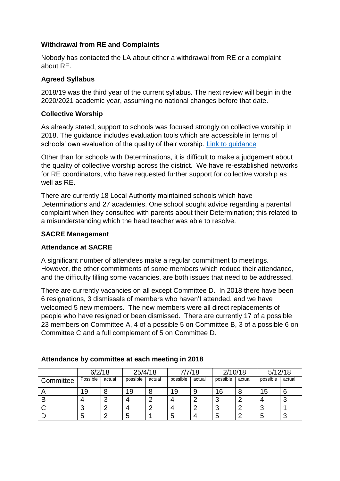## **Withdrawal from RE and Complaints**

Nobody has contacted the LA about either a withdrawal from RE or a complaint about RE.

### **Agreed Syllabus**

2018/19 was the third year of the current syllabus. The next review will begin in the 2020/2021 academic year, assuming no national changes before that date.

## **Collective Worship**

As already stated, support to schools was focused strongly on collective worship in 2018. The guidance includes evaluation tools which are accessible in terms of schools' own evaluation of the quality of their worship. [Link to guidance](file://bradford.gov.uk/datavault/cyp/ES/Diversity_and_Cohesion/SACRE/Policies/Collective%20Worship%20Model%20Policy%20June%2018.doc)

Other than for schools with Determinations, it is difficult to make a judgement about the quality of collective worship across the district. We have re-established networks for RE coordinators, who have requested further support for collective worship as well as RE.

There are currently 18 Local Authority maintained schools which have Determinations and 27 academies. One school sought advice regarding a parental complaint when they consulted with parents about their Determination; this related to a misunderstanding which the head teacher was able to resolve.

### **SACRE Management**

#### **Attendance at SACRE**

A significant number of attendees make a regular commitment to meetings. However, the other commitments of some members which reduce their attendance, and the difficulty filling some vacancies, are both issues that need to be addressed.

There are currently vacancies on all except Committee D. In 2018 there have been 6 resignations, 3 dismissals of members who haven't attended, and we have welcomed 5 new members. The new members were all direct replacements of people who have resigned or been dismissed. There are currently 17 of a possible 23 members on Committee A, 4 of a possible 5 on Committee B, 3 of a possible 6 on Committee C and a full complement of 5 on Committee D.

|           | 6/2/18   |        | 25/4/18  |        | 7/7/18   |        | 2/10/18  |        | 5/12/18  |        |
|-----------|----------|--------|----------|--------|----------|--------|----------|--------|----------|--------|
| Committee | Possible | actual | possible | actual | possible | actual | possible | actual | possible | actual |
|           | 19       |        | 19       |        | 19       | 9      | 16       |        | 15       | 6      |
|           |          |        |          |        |          | ◠      | n<br>w   |        |          |        |
|           | ◠<br>J   |        |          |        |          | ◠      | ◠<br>N   |        |          |        |
|           | 5        |        |          |        | 5        |        | b        |        |          | ັ      |

#### **Attendance by committee at each meeting in 2018**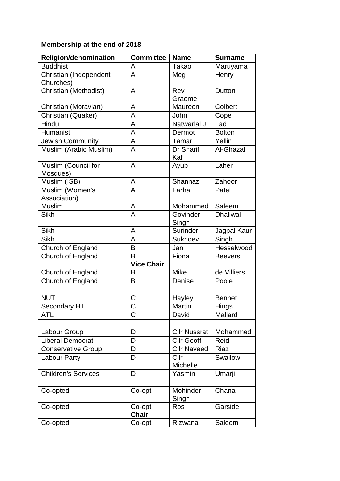# **Membership at the end of 2018**

| <b>Religion/denomination</b> | <b>Committee</b>  | <b>Name</b>         | <b>Surname</b>  |  |
|------------------------------|-------------------|---------------------|-----------------|--|
| <b>Buddhist</b>              | A                 | <b>Takao</b>        | Maruyama        |  |
| Christian (Independent       | A                 | Meg                 | Henry           |  |
| Churches)                    |                   |                     |                 |  |
| Christian (Methodist)        | $\overline{A}$    | Rev                 | Dutton          |  |
|                              |                   | Graeme              |                 |  |
| Christian (Moravian)         | A                 | Maureen             | Colbert         |  |
| Christian (Quaker)           | A                 | John                | Cope            |  |
| Hindu                        | A                 | Natwarlal J         | Lad             |  |
| Humanist                     | A                 | Dermot              | <b>Bolton</b>   |  |
| Jewish Community             | A                 | Tamar               | Yellin          |  |
| Muslim (Arabic Muslim)       | A                 | Dr Sharif           | Al-Ghazal       |  |
|                              |                   | Kaf                 |                 |  |
| Muslim (Council for          | $\overline{A}$    | Ayub                | Laher           |  |
| Mosques)                     |                   |                     |                 |  |
| Muslim (ISB)                 | $\overline{A}$    | Shannaz             | Zahoor          |  |
| Muslim (Women's              | A                 | Farha               | Patel           |  |
| Association)                 |                   |                     |                 |  |
| Muslim                       | A                 | Mohammed            | Saleem          |  |
| <b>Sikh</b>                  | A                 | Govinder            | <b>Dhaliwal</b> |  |
|                              |                   | Singh               |                 |  |
| Sikh                         | A                 | Surinder            | Jagpal Kaur     |  |
| <b>Sikh</b>                  | A                 | Sukhdev             | Singh           |  |
| Church of England            | B                 | Jan                 | Hesselwood      |  |
| Church of England            | B                 | Fiona               | <b>Beevers</b>  |  |
|                              | <b>Vice Chair</b> |                     |                 |  |
| Church of England            | B                 | <b>Mike</b>         | de Villiers     |  |
| Church of England            | B                 | Denise              | Poole           |  |
|                              |                   |                     |                 |  |
| <b>NUT</b>                   | $\mathsf C$       | Hayley              | <b>Bennet</b>   |  |
| Secondary HT                 | Ć                 | <b>Martin</b>       | <b>Hings</b>    |  |
| ATL                          | C                 | David               | Mallard         |  |
|                              |                   |                     |                 |  |
| Labour Group                 | D                 | <b>Cllr Nussrat</b> | Mohammed        |  |
| <b>Liberal Democrat</b>      | D                 | <b>Cllr Geoff</b>   | Reid            |  |
| <b>Conservative Group</b>    | D                 | <b>Cllr Naveed</b>  | Riaz            |  |
| <b>Labour Party</b>          | D                 | Cllr                | Swallow         |  |
|                              |                   | Michelle            |                 |  |
| <b>Children's Services</b>   | D                 | Yasmin              | Umarji          |  |
|                              |                   |                     |                 |  |
| Co-opted                     | Co-opt            | Mohinder            | Chana           |  |
|                              |                   | Singh               |                 |  |
| Co-opted                     | Co-opt            | Ros                 | Garside         |  |
|                              | <b>Chair</b>      |                     |                 |  |
| Co-opted                     | Co-opt            | Rizwana             | Saleem          |  |